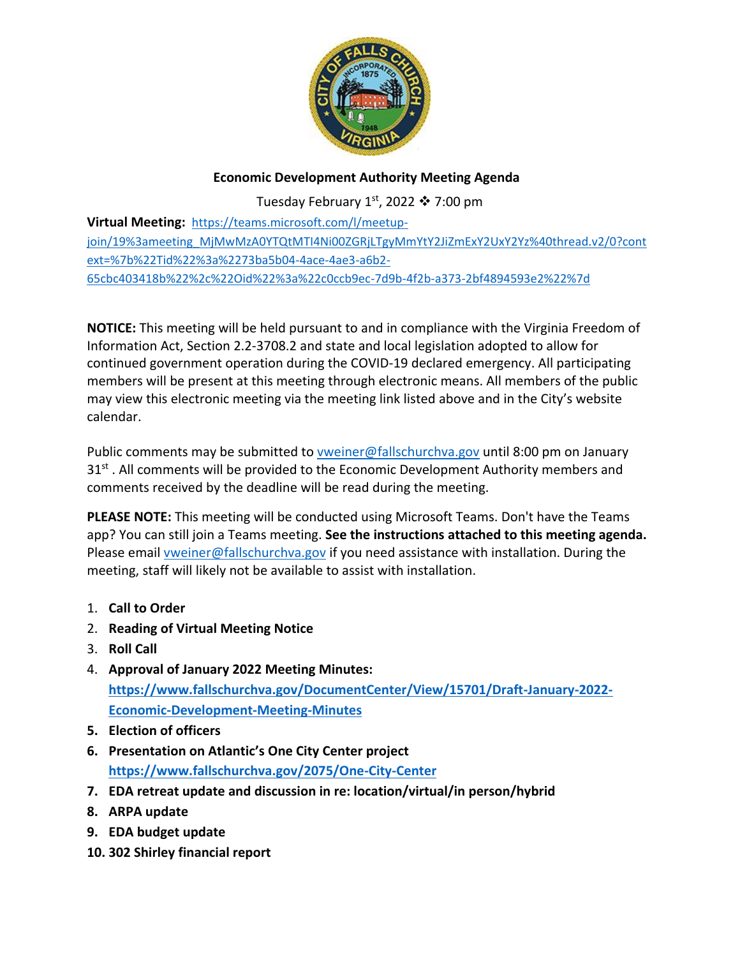

## **Economic Development Authority Meeting Agenda**

Tuesday February 1st, 2022  $\cdot$  7:00 pm

**Virtual Meeting:** [https://teams.microsoft.com/l/meetup](https://teams.microsoft.com/l/meetup-join/19%3ameeting_MjMwMzA0YTQtMTI4Ni00ZGRjLTgyMmYtY2JiZmExY2UxY2Yz%40thread.v2/0?context=%7b%22Tid%22%3a%2273ba5b04-4ace-4ae3-a6b2-65cbc403418b%22%2c%22Oid%22%3a%22c0ccb9ec-7d9b-4f2b-a373-2bf4894593e2%22%7d)[join/19%3ameeting\\_MjMwMzA0YTQtMTI4Ni00ZGRjLTgyMmYtY2JiZmExY2UxY2Yz%40thread.v2/0?cont](https://teams.microsoft.com/l/meetup-join/19%3ameeting_MjMwMzA0YTQtMTI4Ni00ZGRjLTgyMmYtY2JiZmExY2UxY2Yz%40thread.v2/0?context=%7b%22Tid%22%3a%2273ba5b04-4ace-4ae3-a6b2-65cbc403418b%22%2c%22Oid%22%3a%22c0ccb9ec-7d9b-4f2b-a373-2bf4894593e2%22%7d) [ext=%7b%22Tid%22%3a%2273ba5b04-4ace-4ae3-a6b2-](https://teams.microsoft.com/l/meetup-join/19%3ameeting_MjMwMzA0YTQtMTI4Ni00ZGRjLTgyMmYtY2JiZmExY2UxY2Yz%40thread.v2/0?context=%7b%22Tid%22%3a%2273ba5b04-4ace-4ae3-a6b2-65cbc403418b%22%2c%22Oid%22%3a%22c0ccb9ec-7d9b-4f2b-a373-2bf4894593e2%22%7d) [65cbc403418b%22%2c%22Oid%22%3a%22c0ccb9ec-7d9b-4f2b-a373-2bf4894593e2%22%7d](https://teams.microsoft.com/l/meetup-join/19%3ameeting_MjMwMzA0YTQtMTI4Ni00ZGRjLTgyMmYtY2JiZmExY2UxY2Yz%40thread.v2/0?context=%7b%22Tid%22%3a%2273ba5b04-4ace-4ae3-a6b2-65cbc403418b%22%2c%22Oid%22%3a%22c0ccb9ec-7d9b-4f2b-a373-2bf4894593e2%22%7d)

**NOTICE:** This meeting will be held pursuant to and in compliance with the Virginia Freedom of Information Act, Section 2.2-3708.2 and state and local legislation adopted to allow for continued government operation during the COVID-19 declared emergency. All participating members will be present at this meeting through electronic means. All members of the public may view this electronic meeting via the meeting link listed above and in the City's website calendar.

Public comments may be submitted to [vweiner@fallschurchva.gov](mailto:vweiner@fallschurchva.gov) until 8:00 pm on January 31<sup>st</sup>. All comments will be provided to the Economic Development Authority members and comments received by the deadline will be read during the meeting.

**PLEASE NOTE:** This meeting will be conducted using Microsoft Teams. Don't have the Teams app? You can still join a Teams meeting. **See the instructions attached to this meeting agenda.**  Please email [vweiner@fallschurchva.gov](mailto:vweiner@fallschurchva.gov) if you need assistance with installation. During the meeting, staff will likely not be available to assist with installation.

- 1. **Call to Order**
- 2. **Reading of Virtual Meeting Notice**
- 3. **Roll Call**
- 4. **Approval of January 2022 Meeting Minutes: [https://www.fallschurchva.gov/DocumentCenter/View/15701/Draft-January-2022-](https://www.fallschurchva.gov/DocumentCenter/View/15701/Draft-January-2022-Economic-Development-Meeting-Minutes) [Economic-Development-Meeting-Minutes](https://www.fallschurchva.gov/DocumentCenter/View/15701/Draft-January-2022-Economic-Development-Meeting-Minutes)**
- **5. Election of officers**
- **6. Presentation on Atlantic's One City Center project <https://www.fallschurchva.gov/2075/One-City-Center>**
- **7. EDA retreat update and discussion in re: location/virtual/in person/hybrid**
- **8. ARPA update**
- **9. EDA budget update**
- **10. 302 Shirley financial report**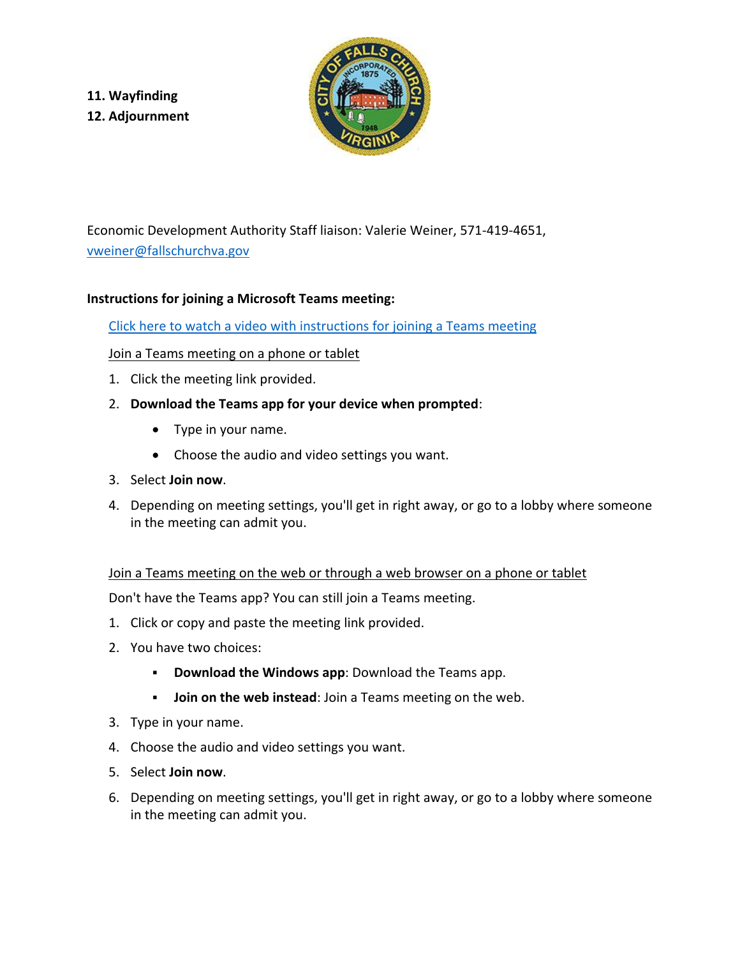**11. Wayfinding 12. Adjournment**



Economic Development Authority Staff liaison: Valerie Weiner, 571-419-4651, [vweiner@fallschurchva.gov](mailto:vweiner@fallschurchva.gov)

## **Instructions for joining a Microsoft Teams meeting:**

[Click here to watch a video with instructions for joining a Teams meeting](https://www.microsoft.com/en-us/videoplayer/embed/RE3Oz24?pid=ocpVideo0-innerdiv-oneplayer&postJsllMsg=true&maskLevel=20&market=en-us)

## Join a Teams meeting on a phone or tablet

- 1. Click the meeting link provided.
- 2. **Download the Teams app for your device when prompted**:
	- Type in your name.
	- Choose the audio and video settings you want.
- 3. Select **Join now**.
- 4. Depending on meeting settings, you'll get in right away, or go to a lobby where someone in the meeting can admit you.

Join a Teams meeting on the web or through a web browser on a phone or tablet

Don't have the Teams app? You can still join a Teams meeting.

- 1. Click or copy and paste the meeting link provided.
- 2. You have two choices:
	- **Download the Windows app**: Download the Teams app.
	- **Join on the web instead**: Join a Teams meeting on the web.
- 3. Type in your name.
- 4. Choose the audio and video settings you want.
- 5. Select **Join now**.
- 6. Depending on meeting settings, you'll get in right away, or go to a lobby where someone in the meeting can admit you.